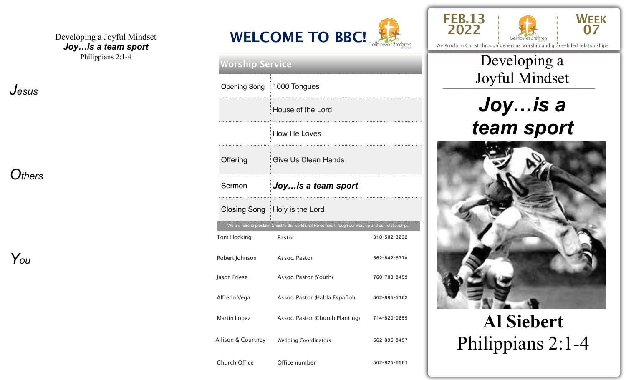#### Developing a Joyful Mindset *Joy…is a team sport* Philippians 2:1-4

*Jesus* 

*Others* 

*You* 

#### **<sup>2022</sup> WELCOME TO BBC!** BellflowerBrethren

|                    | <b>Worship Service</b>                                                                                 |              |  |  |
|--------------------|--------------------------------------------------------------------------------------------------------|--------------|--|--|
|                    | Opening Song   1000 Tongues                                                                            |              |  |  |
|                    | House of the Lord                                                                                      |              |  |  |
|                    | How He Loves                                                                                           |              |  |  |
| Offering           | Give Us Clean Hands                                                                                    |              |  |  |
| Sermon             | Joy is a team sport                                                                                    |              |  |  |
|                    | Closing Song   Holy is the Lord                                                                        |              |  |  |
|                    | We are here to proclaim Christ to the world until He comes, through our worship and our relationships. |              |  |  |
| Tom Hocking        | Pastor                                                                                                 | 310-502-3232 |  |  |
| Robert Johnson     | Assoc. Pastor                                                                                          | 562-842-6770 |  |  |
| Jason Friese       | Assoc. Pastor (Youth)                                                                                  | 760-703-8459 |  |  |
| Alfredo Vega       | Assoc. Pastor (Habla Español)                                                                          | 562-895-5162 |  |  |
| Martin Lopez       | Assoc. Pastor (Church Planting)                                                                        | 714-820-0659 |  |  |
| Allison & Courtney | <b>Wedding Coordinators</b>                                                                            | 562-896-8457 |  |  |
| Church Office      | Office number                                                                                          | 562-925-6561 |  |  |





BellflowerBrethren We Proclaim Christ through generous worship and grace-filled relationships

# \_\_\_\_\_\_\_\_\_\_\_\_\_\_\_\_\_\_\_\_\_\_\_\_\_\_\_\_\_\_\_\_\_\_\_\_\_\_\_\_\_\_\_\_\_\_\_\_\_ Joyful Mindset Developing a

# *Joy…is a team sport*



# **Al Siebert**  Philippians 2:1-4